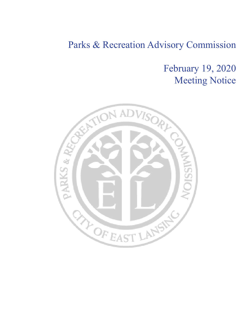## February 19, 2020 Meeting Notice

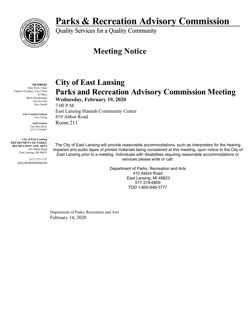

Quality Services for a Quality Community

### **Meeting Notice**

#### **MEMBERS**

Pam Weil, Chair Charles Overbey, Vice Chair EJ Buss Merle Heidemann Jon Novello Alex Smith

> **City Countcil Liaison** Jessy Gregg

> > **Staff Liaison** Tim McCaffrey (517) 319-6867

**City of East Lansing DEPARTMENT OF PARKS, RECREATION AND ARTS** 410 Abbot Road East Lansing, MI 48823

> (517) 337-1731 www.cityofeastlansing.com

**City of East Lansing Parks and Recreation Advisory Commission Meeting** 

**Wednesday, February 19, 2020** 

7:00 P.M. East Lansing Hannah Community Center 819 Abbot Road Room 211

The City of East Lansing will provide reasonable accommodations, such as interpreters for the hearing impaired and audio tapes of printed materials being considered at this meeting, upon notice to the City of East Lansing prior to a meeting. Individuals with disabilities requiring reasonable accommodations or services please write or call:

> Department of Parks, Recreation and Arts 410 Abbot Road East Lansing, MI 48823 517-319-6809 TDD 1-800-649-3777

Department of Parks, Recreation and Arts February 14, 2020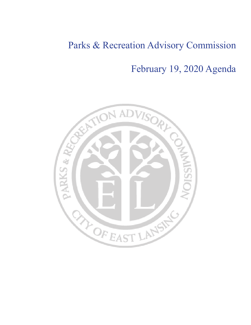February 19, 2020 Agenda

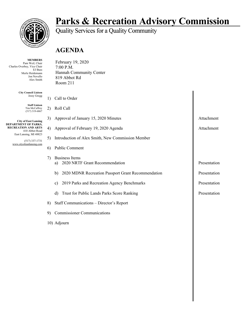

#### **MEMBERS**

Pam Weil, Chair Charles Overbey, Vice Chair EJ Buss Merle Heidemann Jon Novello Alex Smith

> **City Council Liaison** Jessy Gregg

> > **Staff Liaison** Tim McCaffrey (517) 319-6867

**City of East Lansing DEPARTMENT OF PARKS, RECREATION AND ARTS** 410 Abbot Road East Lansing, MI 48823

> (517) 337-1731 www.cityofeastlansing.com

# **Parks & Recreation Advisory Commission**<br>Quality Services for a Quality Community

### **AGENDA**

| February 19, 2020       |
|-------------------------|
| 7:00 P.M.               |
| Hannah Community Center |
| 819 Abbot Rd            |
| Room 211                |

| 1) | Call to Order                                                 |              |  |  |  |  |  |
|----|---------------------------------------------------------------|--------------|--|--|--|--|--|
| 2) | Roll Call                                                     |              |  |  |  |  |  |
| 3) | Approval of January 15, 2020 Minutes                          | Attachment   |  |  |  |  |  |
| 4) | Approval of February 19, 2020 Agenda                          | Attachment   |  |  |  |  |  |
| 5) | Introduction of Alex Smith, New Commission Member             |              |  |  |  |  |  |
| 6) | Public Comment                                                |              |  |  |  |  |  |
| 7) | <b>Business Items</b><br>2020 NRTF Grant Recommendation<br>a) | Presentation |  |  |  |  |  |
|    | 2020 MDNR Recreation Passport Grant Recommendation<br>b)      | Presentation |  |  |  |  |  |
|    | 2019 Parks and Recreation Agency Benchmarks<br>c)             | Presentation |  |  |  |  |  |
|    | Trust for Public Lands Parks Score Ranking<br>d)              | Presentation |  |  |  |  |  |
| 8) | Staff Communications - Director's Report                      |              |  |  |  |  |  |
| 9) | <b>Commissioner Communications</b>                            |              |  |  |  |  |  |
|    | 10) Adjourn                                                   |              |  |  |  |  |  |
|    |                                                               |              |  |  |  |  |  |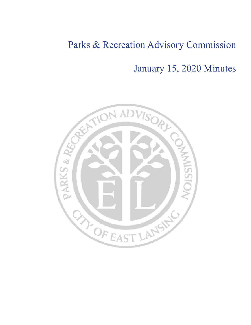January 15, 2020 Minutes

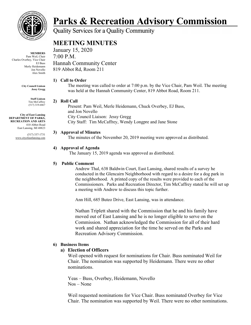

**MEMBERS** Pam Weil, Chair Charles Overbey, Vice Chair EJ Buss Merly Heidemann Jon Novello Alex Smith

> **City Council Liaison Jessy Gregg**

> > **Staff Liaison** Tim McCaffrey (517) 319-6867

**City of East Lansing DEPARTMENT OF PARKS, RECREATION AND ARTS** 410 Abbot Road East Lansing, MI 48823

> (517) 337-1731 www.cityofeastlansing.com

# **Parks & Recreation Advisory Commission**

**Quality Services for a Quality Community** 

### **MEETING MINUTES**

January 15, 2020 7:00 P.M. Hannah Community Center 819 Abbot Rd, Room 211

#### **1) Call to Order**

The meeting was called to order at 7:00 p.m. by the Vice Chair, Pam Weil. The meeting was held at the Hannah Community Center, 819 Abbot Road, Room 211.

#### **2) Roll Call**

Present: Pam Weil, Merle Heidemann, Chuck Overbey, EJ Buss, and Jon Novello City Council Liaison: Jessy Gregg City Staff: Tim McCaffrey, Wendy Longpre and Jane Stone

#### **3) Approval of Minutes**

The minutes of the November 20, 2019 meeting were approved as distributed.

#### **4) Approval of Agenda**

The January 15, 2019 agenda was approved as distributed.

#### **5) Public Comment**

Andrew Thal, 638 Baldwin Court, East Lansing, shared results of a survey he conducted in the Glencairn Neighborhood with regard to a desire for a dog park in the neighborhood. A printed copy of the results were provided to each of the Commissioners. Parks and Recreation Director, Tim McCaffrey stated he will set up a meeting with Andrew to discuss this topic further.

Ann Hill, 685 Buteo Drive, East Lansing, was in attendance.

Nathan Triplett shared with the Commission that he and his family have moved out of East Lansing and he is no longer eligible to serve on the Commission. Nathan acknowledged the Commission for all of their hard work and shared appreciation for the time he served on the Parks and Recreation Advisory Commission.

#### **6) Business Items**

#### **a) Election of Officers**

Weil opened with request for nominations for Chair. Buss nominated Weil for Chair. The nomination was supported by Heidemann. There were no other nominations.

Yeas – Buss, Overbey, Heidemann, Novello Nos – None

Weil requested nominations for Vice Chair. Buss nominated Overbey for Vice Chair. The nomination was supported by Weil. There were no other nominations.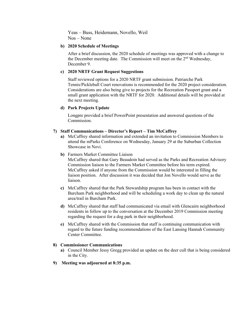Yeas – Buss, Heidemann, Novello, Weil Nos – None

#### **b) 2020 Schedule of Meetings**

After a brief discussion, the 2020 schedule of meetings was approved with a change to the December meeting date. The Commission will meet on the 2<sup>nd</sup> Wednesday, December 9.

#### **c) 2020 NRTF Grant Request Suggestions**

Staff reviewed options for a 2020 NRTF grant submission. Patriarche Park Tennis/Pickleball Court renovations is recommended for the 2020 project consideration. Considerations are also being give to projects for the Recreation Passport grant and a small grant application with the NRTF for 2020. Additional details will be provided at the next meeting.

#### **d) Park Projects Update**

Longpre provided a brief PowerPoint presentation and answered questions of the Commission.

#### **7) Staff Communications – Director's Report – Tim McCaffrey**

- **a)** McCaffrey shared information and extended an invitation to Commission Members to attend the mParks Conference on Wednesday, January 29 at the Suburban Collection Showcase in Novi.
- **b)** Farmers Market Committee Liaison

McCaffrey shared that Gary Beaudoin had served as the Parks and Recreation Advisory Commission liaison to the Farmers Market Committee before his term expired. McCaffrey asked if anyone from the Commission would be interested in filling the liaison position. After discussion it was decided that Jon Novello would serve as the liaison.

- **c)** McCaffrey shared that the Park Stewardship program has been in contact with the Burcham Park neighborhood and will be scheduling a work day to clean up the natural area/trail in Burcham Park.
- **d)** McCaffrey shared that staff had communicated via email with Glencairn neighborhood residents in follow up to the conversation at the December 2019 Commission meeting regarding the request for a dog park in their neighborhood.
- **e)** McCaffrey shared with the Commission that staff is continuing communication with regard to the future funding recommendations of the East Lansing Hannah Community Center Committee.

#### **8) Commissioner Communications**

- **a)** Council Member Jessy Gregg provided an update on the deer cull that is being considered in the City.
- **9) Meeting was adjourned at 8:35 p.m.**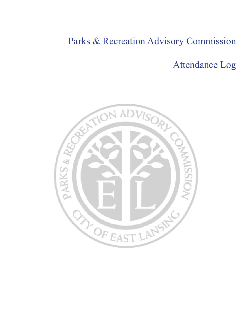### Attendance Log